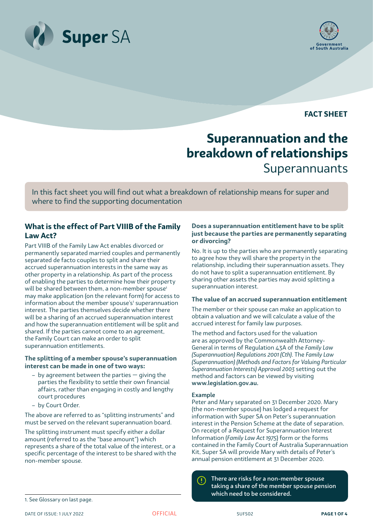



**FACT SHEET**

# **Superannuation and the breakdown of relationships** Superannuants

In this fact sheet you will find out what a breakdown of relationship means for super and where to find the supporting documentation

# **What is the effect of Part VIIIB of the Family Law Act?**

Part VIIIB of the Family Law Act enables divorced or permanently separated married couples and permanently separated de facto couples to split and share their accrued superannuation interests in the same way as other property in a relationship. As part of the process of enabling the parties to determine how their property will be shared between them, a non-member spouse<sup>1</sup> may make application (on the relevant form) for access to information about the member spouse's<sup>1</sup> superannuation interest. The parties themselves decide whether there will be a sharing of an accrued superannuation interest and how the superannuation entitlement will be split and shared. If the parties cannot come to an agreement, the Family Court can make an order to split superannuation entitlements.

# **The splitting of a member spouse's superannuation interest can be made in one of two ways:**

- by agreement between the parties giving the parties the flexibility to settle their own financial affairs, rather than engaging in costly and lengthy court procedures
- by Court Order.

The above are referred to as "splitting instruments" and must be served on the relevant superannuation board.

The splitting instrument must specify either a dollar amount (referred to as the "base amount") which represents a share of the total value of the interest, or a specific percentage of the interest to be shared with the non-member spouse.

# **Does a superannuation entitlement have to be split just because the parties are permanently separating or divorcing?**

No. It is up to the parties who are permanently separating to agree how they will share the property in the relationship, including their superannuation assets. They do not have to split a superannuation entitlement. By sharing other assets the parties may avoid splitting a superannuation interest.

# **The value of an accrued superannuation entitlement**

The member or their spouse can make an application to obtain a valuation and we will calculate a value of the accrued interest for family law purposes.

The method and factors used for the valuation are as approved by the Commonwealth Attorney-General in terms of Regulation 43A of the *Family Law (Superannuation) Regulations 2001 (Cth)*. The *Family Law (Superannuation) (Methods and Factors for Valuing Particular Superannuation Interests) Approval 2003* setting out the method and factors can be viewed by visiting www.legislation.gov.au.

#### Example

Peter and Mary separated on 31 December 2020. Mary (the non-member spouse) has lodged a request for information with Super SA on Peter's superannuation interest in the Pension Scheme at the date of separation. On receipt of a Request for Superannuation Interest Information (*Family Law Act 1975*) form or the forms contained in the Family Court of Australia Superannuation Kit, Super SA will provide Mary with details of Peter's annual pension entitlement at 31 December 2020.

There are risks for a non-member spouse  $\left( \mathbf{l}\right)$ taking a share of the member spouse pension which need to be considered.

<sup>1.</sup> See Glossary on last page.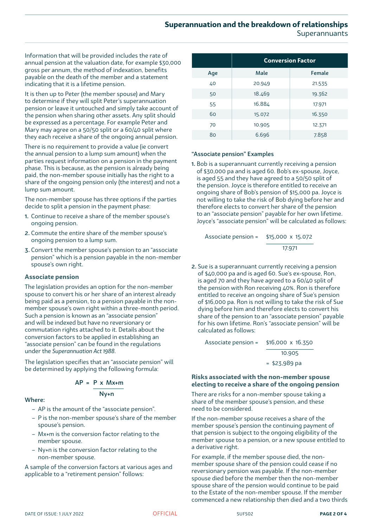Information that will be provided includes the rate of annual pension at the valuation date, for example \$30,000 gross per annum, the method of indexation, benefits payable on the death of the member and a statement indicating that it is a lifetime pension.

It is then up to Peter (the member spouse) and Mary to determine if they will split Peter's superannuation pension or leave it untouched and simply take account of the pension when sharing other assets. Any split should be expressed as a percentage. For example Peter and Mary may agree on a 50/50 split or a 60/40 split where they each receive a share of the ongoing annual pension.

There is no requirement to provide a value (ie convert the annual pension to a lump sum amount) when the parties request information on a pension in the payment phase. This is because, as the pension is already being paid, the non-member spouse initially has the right to a share of the ongoing pension only (the interest) and not a lump sum amount.

The non-member spouse has three options if the parties decide to split a pension in the payment phase:

- 1. Continue to receive a share of the member spouse's ongoing pension.
- 2. Commute the entire share of the member spouse's ongoing pension to a lump sum.
- 3. Convert the member spouse's pension to an "associate pension" which is a pension payable in the non-member spouse's own right.

# **Associate pension**

The legislation provides an option for the non-member spouse to convert his or her share of an interest already being paid as a pension, to a pension payable in the nonmember spouse's own right within a three-month period. Such a pension is known as an "associate pension" and will be indexed but have no reversionary or commutation rights attached to it. Details about the conversion factors to be applied in establishing an "associate pension" can be found in the regulations under the *Superannuation Act 1988*.

The legislation specifies that an "associate pension" will be determined by applying the following formula:

$$
AP = P \times Mx + m
$$
  
 
$$
Nv + n
$$

Where:

- AP is the amount of the "associate pension".
- P is the non-member spouse's share of the member spouse's pension.
- Mx+m is the conversion factor relating to the member spouse.
- Ny+n is the conversion factor relating to the non-member spouse.

A sample of the conversion factors at various ages and applicable to a "retirement pension" follows:

|     | <b>Conversion Factor</b> |        |
|-----|--------------------------|--------|
| Age | Male                     | Female |
| 40  | 20.949                   | 21.535 |
| 50  | 18.469                   | 19.362 |
| 55  | 16.884                   | 17.971 |
| 60  | 15.072                   | 16.350 |
| 70  | 10.905                   | 12.371 |
| 80  | 6.696                    | 7.858  |

#### "Associate pension" Examples

1. Bob is a superannuant currently receiving a pension of \$30,000 pa and is aged 60. Bob's ex-spouse, Joyce, is aged 55 and they have agreed to a 50/50 split of the pension. Joyce is therefore entitled to receive an ongoing share of Bob's pension of \$15,000 pa. Joyce is not willing to take the risk of Bob dying before her and therefore elects to convert her share of the pension to an "associate pension" payable for her own lifetime. Joyce's "associate pension" will be calculated as follows:

Associate pension = \$15,000 x 15.072 17.971

2. Sue is a superannuant currently receiving a pension of \$40,000 pa and is aged 60. Sue's ex-spouse, Ron, is aged 70 and they have agreed to a 60/40 split of the pension with Ron receiving 40%. Ron is therefore entitled to receive an ongoing share of Sue's pension of \$16,000 pa. Ron is not willing to take the risk of Sue dying before him and therefore elects to convert his share of the pension to an "associate pension" payable for his own lifetime. Ron's "associate pension" will be calculated as follows:

= \$23,989 pa Associate pension = \$16,000 x 16.350 10.905

#### **Risks associated with the non-member spouse electing to receive a share of the ongoing pension**

There are risks for a non-member spouse taking a share of the member spouse's pension, and these need to be considered.

If the non-member spouse receives a share of the member spouse's pension the continuing payment of that pension is subject to the ongoing eligibility of the member spouse to a pension, or a new spouse entitled to a derivative right.

For example, if the member spouse died, the nonmember spouse share of the pension could cease if no reversionary pension was payable. If the non-member spouse died before the member then the non-member spouse share of the pension would continue to be paid to the Estate of the non-member spouse. If the member commenced a new relationship then died and a two thirds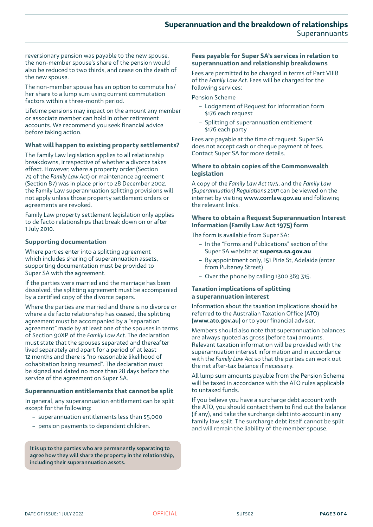reversionary pension was payable to the new spouse, the non-member spouse's share of the pension would also be reduced to two thirds, and cease on the death of the new spouse.

The non-member spouse has an option to commute his/ her share to a lump sum using current commutation factors within a three-month period.

Lifetime pensions may impact on the amount any member or associate member can hold in other retirement accounts. We recommend you seek financial advice before taking action.

#### **What will happen to existing property settlements?**

The Family Law legislation applies to all relationship breakdowns, irrespective of whether a divorce takes effect. However, where a property order (Section 79 of the *Family Law Act*) or maintenance agreement (Section 87) was in place prior to 28 December 2002, the Family Law superannuation splitting provisions will not apply unless those property settlement orders or agreements are revoked.

Family Law property settlement legislation only applies to de facto relationships that break down on or after 1 July 2010.

#### **Supporting documentation**

Where parties enter into a splitting agreement which includes sharing of superannuation assets, supporting documentation must be provided to Super SA with the agreement.

If the parties were married and the marriage has been dissolved, the splitting agreement must be accompanied by a certified copy of the divorce papers.

Where the parties are married and there is no divorce or where a de facto relationship has ceased, the splitting agreement must be accompanied by a "separation agreement" made by at least one of the spouses in terms of Section 90XP of the *Family Law Act*. The declaration must state that the spouses separated and thereafter lived separately and apart for a period of at least 12 months and there is "no reasonable likelihood of cohabitation being resumed". The declaration must be signed and dated no more than 28 days before the service of the agreement on Super SA.

# **Superannuation entitlements that cannot be split**

In general, any superannuation entitlement can be split except for the following:

- superannuation entitlements less than \$5,000
- pension payments to dependent children.

It is up to the parties who are permanently separating to agree how they will share the property in the relationship, including their superannuation assets.

#### **Fees payable for Super SA's services in relation to superannuation and relationship breakdowns**

Fees are permitted to be charged in terms of Part VIIIB of the *Family Law Act*. Fees will be charged for the following services:

Pension Scheme

- Lodgement of Request for Information form \$176 each request
- Splitting of superannuation entitlement \$176 each party

Fees are payable at the time of request. Super SA does not accept cash or cheque payment of fees. Contact Super SA for more details.

#### **Where to obtain copies of the Commonwealth legislation**

A copy of the *Family Law Act 1975*, and the *Family Law (Superannuation) Regulations 2001* can be viewed on the internet by visiting [www.comlaw.gov.au](http://www.comlaw.gov.au/comlaw/Legislation/LegislativeInstrumentCompilation1.nsf/0/4B70C9FE3DC902BECA256FE700837AFD/$file/FamLawSupMetFacValParSupIntApp03Vol4.pdf) and following the relevant links.

#### **Where to obtain a Request Superannuation Interest Information (Family Law Act 1975) form**

The form is available from Super SA:

- In the "Forms and Publications" section of the Super SA website at **[supersa.sa.gov.au](http://www.supersa.sa.gov.au)**
- By appointment only, 151 Pirie St, Adelaide (enter from Pulteney Street)
- Over the phone by calling 1300 369 315.

#### **Taxation implications of splitting a superannuation interest**

Information about the taxation implications should be referred to the Australian Taxation Office (ATO) [\(www.ato.gov.au](http://www.ato.gov.au)) or to your financial adviser.

Members should also note that superannuation balances are always quoted as gross (before tax) amounts. Relevant taxation information will be provided with the superannuation interest information and in accordance with the *Family Law Act* so that the parties can work out the net after-tax balance if necessary.

All lump sum amounts payable from the Pension Scheme will be taxed in accordance with the ATO rules applicable to untaxed funds.

If you believe you have a surcharge debt account with the ATO, you should contact them to find out the balance (if any), and take the surcharge debt into account in any family law spilt. The surcharge debt itself cannot be split and will remain the liability of the member spouse.